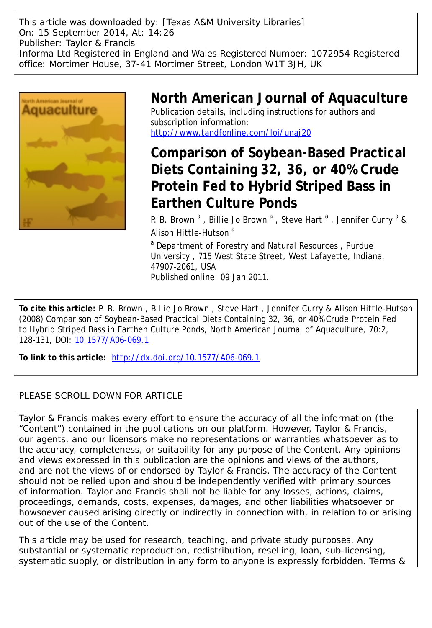This article was downloaded by: [Texas A&M University Libraries] On: 15 September 2014, At: 14:26 Publisher: Taylor & Francis Informa Ltd Registered in England and Wales Registered Number: 1072954 Registered office: Mortimer House, 37-41 Mortimer Street, London W1T 3JH, UK



# **North American Journal of Aquaculture** Publication details, including instructions for authors and subscription information:

<http://www.tandfonline.com/loi/unaj20>

# **Comparison of Soybean-Based Practical Diets Containing 32, 36, or 40% Crude Protein Fed to Hybrid Striped Bass in Earthen Culture Ponds**

P. B. Brown<sup>a</sup>, Billie Jo Brown<sup>a</sup>, Steve Hart<sup>a</sup>, Jennifer Curry<sup>a</sup> & Alison Hittle-Hutson<sup>a</sup>

<sup>a</sup> Department of Forestry and Natural Resources, Purdue University , 715 West State Street, West Lafayette, Indiana, 47907-2061, USA Published online: 09 Jan 2011.

**To cite this article:** P. B. Brown , Billie Jo Brown , Steve Hart , Jennifer Curry & Alison Hittle-Hutson (2008) Comparison of Soybean-Based Practical Diets Containing 32, 36, or 40% Crude Protein Fed to Hybrid Striped Bass in Earthen Culture Ponds, North American Journal of Aquaculture, 70:2, 128-131, DOI: [10.1577/A06-069.1](http://www.tandfonline.com/action/showCitFormats?doi=10.1577/A06-069.1)

**To link to this article:** <http://dx.doi.org/10.1577/A06-069.1>

## PLEASE SCROLL DOWN FOR ARTICLE

Taylor & Francis makes every effort to ensure the accuracy of all the information (the "Content") contained in the publications on our platform. However, Taylor & Francis, our agents, and our licensors make no representations or warranties whatsoever as to the accuracy, completeness, or suitability for any purpose of the Content. Any opinions and views expressed in this publication are the opinions and views of the authors, and are not the views of or endorsed by Taylor & Francis. The accuracy of the Content should not be relied upon and should be independently verified with primary sources of information. Taylor and Francis shall not be liable for any losses, actions, claims, proceedings, demands, costs, expenses, damages, and other liabilities whatsoever or howsoever caused arising directly or indirectly in connection with, in relation to or arising out of the use of the Content.

This article may be used for research, teaching, and private study purposes. Any substantial or systematic reproduction, redistribution, reselling, loan, sub-licensing, systematic supply, or distribution in any form to anyone is expressly forbidden. Terms &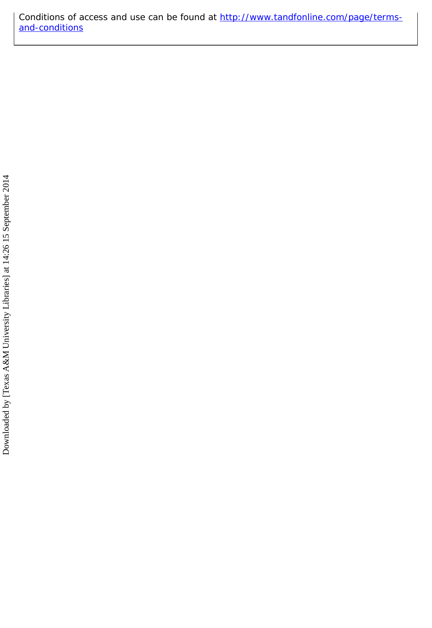Conditions of access and use can be found at [http://www.tandfonline.com/page/terms](http://www.tandfonline.com/page/terms-and-conditions)[and-conditions](http://www.tandfonline.com/page/terms-and-conditions)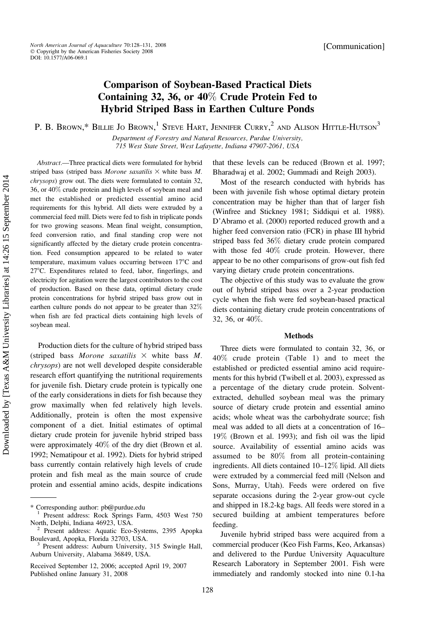[Communication]

## Comparison of Soybean-Based Practical Diets Containing 32, 36, or 40% Crude Protein Fed to Hybrid Striped Bass in Earthen Culture Ponds

P. B. Brown,\* Billie Jo Brown,<sup>1</sup> Steve Hart, Jennifer Curry,<sup>2</sup> and Alison Hittle-Hutson<sup>3</sup>

Department of Forestry and Natural Resources, Purdue University, 715 West State Street, West Lafayette, Indiana 47907-2061, USA

Abstract.—Three practical diets were formulated for hybrid striped bass (striped bass Morone saxatilis  $\times$  white bass M. chrysops) grow out. The diets were formulated to contain 32, 36, or 40% crude protein and high levels of soybean meal and met the established or predicted essential amino acid requirements for this hybrid. All diets were extruded by a commercial feed mill. Diets were fed to fish in triplicate ponds for two growing seasons. Mean final weight, consumption, feed conversion ratio, and final standing crop were not significantly affected by the dietary crude protein concentration. Feed consumption appeared to be related to water temperature, maximum values occurring between  $17^{\circ}$ C and 27°C. Expenditures related to feed, labor, fingerlings, and electricity for agitation were the largest contributors to the cost of production. Based on these data, optimal dietary crude protein concentrations for hybrid striped bass grow out in earthen culture ponds do not appear to be greater than 32% when fish are fed practical diets containing high levels of soybean meal.

Production diets for the culture of hybrid striped bass (striped bass Morone saxatilis  $\times$  white bass M. chrysops) are not well developed despite considerable research effort quantifying the nutritional requirements for juvenile fish. Dietary crude protein is typically one of the early considerations in diets for fish because they grow maximally when fed relatively high levels. Additionally, protein is often the most expensive component of a diet. Initial estimates of optimal dietary crude protein for juvenile hybrid striped bass were approximately 40% of the dry diet (Brown et al. 1992; Nematipour et al. 1992). Diets for hybrid striped bass currently contain relatively high levels of crude protein and fish meal as the main source of crude protein and essential amino acids, despite indications

128

that these levels can be reduced (Brown et al. 1997; Bharadwaj et al. 2002; Gummadi and Reigh 2003).

Most of the research conducted with hybrids has been with juvenile fish whose optimal dietary protein concentration may be higher than that of larger fish (Winfree and Stickney 1981; Siddiqui et al. 1988). D'Abramo et al. (2000) reported reduced growth and a higher feed conversion ratio (FCR) in phase III hybrid striped bass fed 36% dietary crude protein compared with those fed 40% crude protein. However, there appear to be no other comparisons of grow-out fish fed varying dietary crude protein concentrations.

The objective of this study was to evaluate the grow out of hybrid striped bass over a 2-year production cycle when the fish were fed soybean-based practical diets containing dietary crude protein concentrations of 32, 36, or 40%.

### Methods

Three diets were formulated to contain 32, 36, or 40% crude protein (Table 1) and to meet the established or predicted essential amino acid requirements for this hybrid (Twibell et al. 2003), expressed as a percentage of the dietary crude protein. Solventextracted, dehulled soybean meal was the primary source of dietary crude protein and essential amino acids; whole wheat was the carbohydrate source; fish meal was added to all diets at a concentration of 16– 19% (Brown et al. 1993); and fish oil was the lipid source. Availability of essential amino acids was assumed to be 80% from all protein-containing ingredients. All diets contained 10–12% lipid. All diets were extruded by a commercial feed mill (Nelson and Sons, Murray, Utah). Feeds were ordered on five separate occasions during the 2-year grow-out cycle and shipped in 18.2-kg bags. All feeds were stored in a secured building at ambient temperatures before feeding.

Juvenile hybrid striped bass were acquired from a commercial producer (Keo Fish Farms, Keo, Arkansas) and delivered to the Purdue University Aquaculture Research Laboratory in September 2001. Fish were immediately and randomly stocked into nine 0.1-ha

<sup>\*</sup> Corresponding author: pb@purdue.edu <sup>1</sup> Present address: Rock Springs Farm, 4503 West 750

North, Delphi, Indiana 46923, USA.<br><sup>2</sup> Present address: Aquatic Eco-Systems, 2395 Apopka<br>Boulevard, Apopka, Florida 32703, USA.

Present address: Auburn University, 315 Swingle Hall, Auburn University, Alabama 36849, USA.

Received September 12, 2006; accepted April 19, 2007 Published online January 31, 2008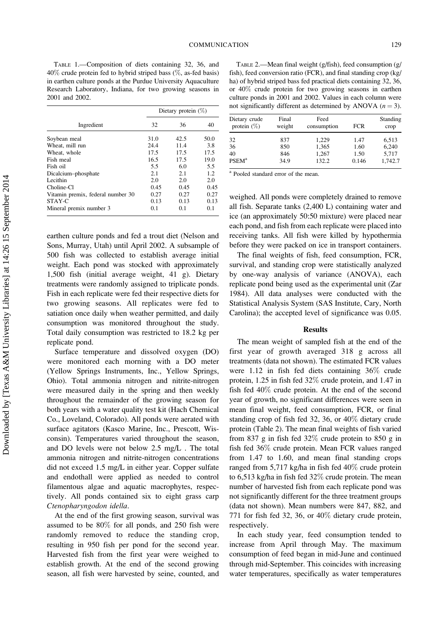TABLE 1.—Composition of diets containing 32, 36, and 40% crude protein fed to hybrid striped bass (%, as-fed basis) in earthen culture ponds at the Purdue University Aquaculture Research Laboratory, Indiana, for two growing seasons in 2001 and 2002.

|                                   | Dietary protein $(\%)$ |      |      |  |
|-----------------------------------|------------------------|------|------|--|
| Ingredient                        | 32                     | 36   | 40   |  |
| Soybean meal                      | 31.0                   | 42.5 | 50.0 |  |
| Wheat, mill run                   | 24.4                   | 11.4 | 3.8  |  |
| Wheat, whole                      | 17.5                   | 17.5 | 17.5 |  |
| Fish meal                         | 16.5                   | 17.5 | 19.0 |  |
| Fish oil                          | 5.5                    | 6.0  | 5.5  |  |
| Dicalcium-phosphate               | 2.1                    | 2.1  | 1.2  |  |
| Lecithin                          | 2.0                    | 2.0  | 2.0  |  |
| Choline-Cl                        | 0.45                   | 0.45 | 0.45 |  |
| Vitamin premix, federal number 30 | 0.27                   | 0.27 | 0.27 |  |
| STAY-C                            | 0.13                   | 0.13 | 0.13 |  |
| Mineral premix number 3           | 0.1                    | 0.1  | 0.1  |  |

earthen culture ponds and fed a trout diet (Nelson and Sons, Murray, Utah) until April 2002. A subsample of 500 fish was collected to establish average initial weight. Each pond was stocked with approximately 1,500 fish (initial average weight, 41 g). Dietary treatments were randomly assigned to triplicate ponds. Fish in each replicate were fed their respective diets for two growing seasons. All replicates were fed to satiation once daily when weather permitted, and daily consumption was monitored throughout the study. Total daily consumption was restricted to 18.2 kg per replicate pond.

Surface temperature and dissolved oxygen (DO) were monitored each morning with a DO meter (Yellow Springs Instruments, Inc., Yellow Springs, Ohio). Total ammonia nitrogen and nitrite-nitrogen were measured daily in the spring and then weekly throughout the remainder of the growing season for both years with a water quality test kit (Hach Chemical Co., Loveland, Colorado). All ponds were aerated with surface agitators (Kasco Marine, Inc., Prescott, Wisconsin). Temperatures varied throughout the season, and DO levels were not below 2.5 mg/L . The total ammonia nitrogen and nitrite-nitrogen concentrations did not exceed 1.5 mg/L in either year. Copper sulfate and endothall were applied as needed to control filamentous algae and aquatic macrophytes, respectively. All ponds contained six to eight grass carp Ctenopharyngodon idella.

At the end of the first growing season, survival was assumed to be 80% for all ponds, and 250 fish were randomly removed to reduce the standing crop, resulting in 950 fish per pond for the second year. Harvested fish from the first year were weighed to establish growth. At the end of the second growing season, all fish were harvested by seine, counted, and

TABLE 2.—Mean final weight (g/fish), feed consumption (g/ fish), feed conversion ratio (FCR), and final standing crop (kg/ ha) of hybrid striped bass fed practical diets containing 32, 36, or 40% crude protein for two growing seasons in earthen culture ponds in 2001 and 2002. Values in each column were not significantly different as determined by ANOVA  $(n = 3)$ .

| Dietary crude<br>protein $(\%)$ | Final<br>weight | Feed<br>consumption | <b>FCR</b> | Standing<br>crop |
|---------------------------------|-----------------|---------------------|------------|------------------|
| 32                              | 837             | 1.229               | 1.47       | 6,513            |
| 36                              | 850             | 1,365               | 1.60       | 6.240            |
| 40                              | 846             | 1,267               | 1.50       | 5,717            |
| <b>PSEM</b> <sup>a</sup>        | 34.9            | 132.2               | 0.146      | 1.742.7          |

<sup>a</sup> Pooled standard error of the mean.

weighed. All ponds were completely drained to remove all fish. Separate tanks (2,400 L) containing water and ice (an approximately 50:50 mixture) were placed near each pond, and fish from each replicate were placed into receiving tanks. All fish were killed by hypothermia before they were packed on ice in transport containers.

The final weights of fish, feed consumption, FCR, survival, and standing crop were statistically analyzed by one-way analysis of variance (ANOVA), each replicate pond being used as the experimental unit (Zar 1984). All data analyses were conducted with the Statistical Analysis System (SAS Institute, Cary, North Carolina); the accepted level of significance was 0.05.

#### Results

The mean weight of sampled fish at the end of the first year of growth averaged 318 g across all treatments (data not shown). The estimated FCR values were 1.12 in fish fed diets containing 36% crude protein, 1.25 in fish fed 32% crude protein, and 1.47 in fish fed 40% crude protein. At the end of the second year of growth, no significant differences were seen in mean final weight, feed consumption, FCR, or final standing crop of fish fed 32, 36, or 40% dietary crude protein (Table 2). The mean final weights of fish varied from 837 g in fish fed 32% crude protein to 850 g in fish fed 36% crude protein. Mean FCR values ranged from 1.47 to 1.60, and mean final standing crops ranged from 5,717 kg/ha in fish fed 40% crude protein to 6,513 kg/ha in fish fed 32% crude protein. The mean number of harvested fish from each replicate pond was not significantly different for the three treatment groups (data not shown). Mean numbers were 847, 882, and 771 for fish fed 32, 36, or 40% dietary crude protein, respectively.

In each study year, feed consumption tended to increase from April through May. The maximum consumption of feed began in mid-June and continued through mid-September. This coincides with increasing water temperatures, specifically as water temperatures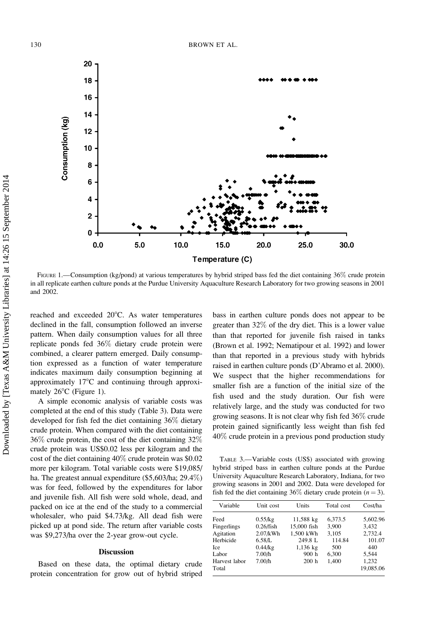

FIGURE 1.—Consumption (kg/pond) at various temperatures by hybrid striped bass fed the diet containing 36% crude protein in all replicate earthen culture ponds at the Purdue University Aquaculture Research Laboratory for two growing seasons in 2001 and 2002.

reached and exceeded 20°C. As water temperatures declined in the fall, consumption followed an inverse pattern. When daily consumption values for all three replicate ponds fed 36% dietary crude protein were combined, a clearer pattern emerged. Daily consumption expressed as a function of water temperature indicates maximum daily consumption beginning at approximately  $17^{\circ}$ C and continuing through approximately  $26^{\circ}$ C (Figure 1).

A simple economic analysis of variable costs was completed at the end of this study (Table 3). Data were developed for fish fed the diet containing 36% dietary crude protein. When compared with the diet containing 36% crude protein, the cost of the diet containing 32% crude protein was US\$0.02 less per kilogram and the cost of the diet containing 40% crude protein was \$0.02 more per kilogram. Total variable costs were \$19,085/ ha. The greatest annual expenditure (\$5,603/ha; 29.4%) was for feed, followed by the expenditures for labor and juvenile fish. All fish were sold whole, dead, and packed on ice at the end of the study to a commercial wholesaler, who paid \$4.73/kg. All dead fish were picked up at pond side. The return after variable costs was \$9,273/ha over the 2-year grow-out cycle.

### Discussion

Based on these data, the optimal dietary crude protein concentration for grow out of hybrid striped

bass in earthen culture ponds does not appear to be greater than 32% of the dry diet. This is a lower value than that reported for juvenile fish raised in tanks (Brown et al. 1992; Nematipour et al. 1992) and lower than that reported in a previous study with hybrids raised in earthen culture ponds (D'Abramo et al. 2000). We suspect that the higher recommendations for smaller fish are a function of the initial size of the fish used and the study duration. Our fish were relatively large, and the study was conducted for two growing seasons. It is not clear why fish fed 36% crude protein gained significantly less weight than fish fed 40% crude protein in a previous pond production study

TABLE 3.—Variable costs (US\$) associated with growing hybrid striped bass in earthen culture ponds at the Purdue University Aquaculture Research Laboratory, Indiana, for two growing seasons in 2001 and 2002. Data were developed for fish fed the diet containing 36% dietary crude protein  $(n = 3)$ .

| Variable      | Unit cost    | Units       | Total cost | Cost/ha   |
|---------------|--------------|-------------|------------|-----------|
| Feed          | $0.55$ /kg   | 11,588 kg   | 6,373.5    | 5,602.96  |
| Fingerlings   | $0.26$ /fish | 15,000 fish | 3.900      | 3.432     |
| Agitation     | $2.07$ /kWh  | 1,500 kWh   | 3,105      | 2,732.4   |
| Herbicide     | 6.58/L       | 249.8 L     | 114.84     | 101.07    |
| Ice           | $0.44$ /kg   | $1,136$ kg  | 500        | 440       |
| Labor         | 7.00/h       | 900h        | 6,300      | 5.544     |
| Harvest labor | 7.00/h       | 200h        | 1,400      | 1,232     |
| Total         |              |             |            | 19,085.06 |